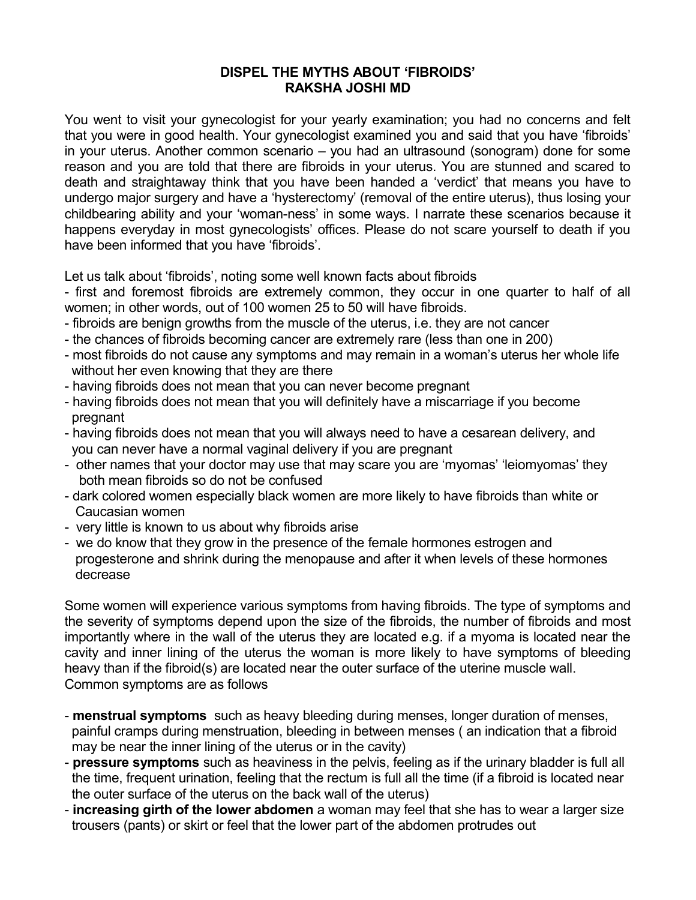## **DISPEL THE MYTHS ABOUT 'FIBROIDS' RAKSHA JOSHI MD**

You went to visit your gynecologist for your yearly examination; you had no concerns and felt that you were in good health. Your gynecologist examined you and said that you have 'fibroids' in your uterus. Another common scenario – you had an ultrasound (sonogram) done for some reason and you are told that there are fibroids in your uterus. You are stunned and scared to death and straightaway think that you have been handed a 'verdict' that means you have to undergo major surgery and have a 'hysterectomy' (removal of the entire uterus), thus losing your childbearing ability and your 'woman-ness' in some ways. I narrate these scenarios because it happens everyday in most gynecologists' offices. Please do not scare yourself to death if you have been informed that you have 'fibroids'.

Let us talk about 'fibroids', noting some well known facts about fibroids

- first and foremost fibroids are extremely common, they occur in one quarter to half of all women; in other words, out of 100 women 25 to 50 will have fibroids.

- fibroids are benign growths from the muscle of the uterus, i.e. they are not cancer
- the chances of fibroids becoming cancer are extremely rare (less than one in 200)
- most fibroids do not cause any symptoms and may remain in a woman's uterus her whole life without her even knowing that they are there
- having fibroids does not mean that you can never become pregnant
- having fibroids does not mean that you will definitely have a miscarriage if you become pregnant
- having fibroids does not mean that you will always need to have a cesarean delivery, and you can never have a normal vaginal delivery if you are pregnant
- other names that your doctor may use that may scare you are 'myomas' 'leiomyomas' they both mean fibroids so do not be confused
- dark colored women especially black women are more likely to have fibroids than white or Caucasian women
- very little is known to us about why fibroids arise
- we do know that they grow in the presence of the female hormones estrogen and progesterone and shrink during the menopause and after it when levels of these hormones decrease

Some women will experience various symptoms from having fibroids. The type of symptoms and the severity of symptoms depend upon the size of the fibroids, the number of fibroids and most importantly where in the wall of the uterus they are located e.g. if a myoma is located near the cavity and inner lining of the uterus the woman is more likely to have symptoms of bleeding heavy than if the fibroid(s) are located near the outer surface of the uterine muscle wall. Common symptoms are as follows

- **menstrual symptoms** such as heavy bleeding during menses, longer duration of menses, painful cramps during menstruation, bleeding in between menses ( an indication that a fibroid may be near the inner lining of the uterus or in the cavity)
- **pressure symptoms** such as heaviness in the pelvis, feeling as if the urinary bladder is full all the time, frequent urination, feeling that the rectum is full all the time (if a fibroid is located near the outer surface of the uterus on the back wall of the uterus)
- **increasing girth of the lower abdomen** a woman may feel that she has to wear a larger size trousers (pants) or skirt or feel that the lower part of the abdomen protrudes out